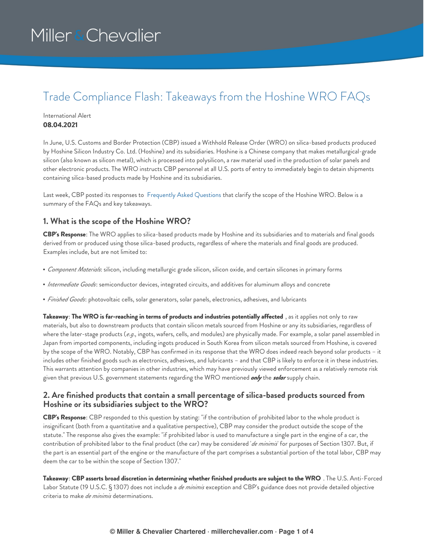### Trade Compliance Flash: Takeaways from the Hoshine WRO FAQs

#### International Alert **08.04.2021**

In June, U.S. Customs and Border Protection (CBP) issued a Withhold Release Order (WRO) on silica-based products produced by Hoshine Silicon Industry Co. Ltd. (Hoshine) and its subsidiaries. Hoshine is a Chinese company that makes metallurgical-grade silicon (also known as silicon metal), which is processed into polysilicon, a raw material used in the production of solar panels and other electronic products. The WRO instructs CBP personnel at all U.S. ports of entry to immediately begin to detain shipments containing silica-based products made by Hoshine and its subsidiaries.

Last week, CBP posted its responses to [Frequently](https://www.cbp.gov/trade/programs-administration/forced-labor/hoshine-silicon-industry-co-ltd-withhold-release-order-frequently-asked-questions) Asked Questions that clarify the scope of the Hoshine WRO. Below is a summary of the FAQs and key takeaways.

#### **1. What is the scope of the Hoshine WRO?**

**CBP's Response**: The WRO applies to silica-based products made by Hoshine and its subsidiaries and to materials and final goods derived from or produced using those silica-based products, regardless of where the materials and final goods are produced. Examples include, but are not limited to:

- *Component Materials*: silicon, including metallurgic grade silicon, silicon oxide, and certain silicones in primary forms
- *Intermediate Goods*: semiconductor devices, integrated circuits, and additives for aluminum alloys and concrete
- *Finished Goods*: photovoltaic cells, solar generators, solar panels, electronics, adhesives, and lubricants

**Takeaway**: **The WRO is far-reaching in terms of products and industries potentially affected** , as it applies not only to raw materials, but also to downstream products that contain silicon metals sourced from Hoshine or any its subsidiaries, regardless of where the later-stage products (*e.g*., ingots, wafers, cells, and modules) are physically made. For example, a solar panel assembled in Japan from imported components, including ingots produced in South Korea from silicon metals sourced from Hoshine, is covered by the scope of the WRO. Notably, CBP has confirmed in its response that the WRO does indeed reach beyond solar products – it includes other finished goods such as electronics, adhesives, and lubricants – and that CBP is likely to enforce it in these industries. This warrants attention by companies in other industries, which may have previously viewed enforcement as a relatively remote risk given that previous U.S. government statements regarding the WRO mentioned *only* the *solar* supply chain.

#### **2. Are finished products that contain a small percentage of silica-based products sourced from Hoshine or its subsidiaries subject to the WRO?**

**CBP's Response**: CBP responded to this question by stating: "if the contribution of prohibited labor to the whole product is insignificant (both from a quantitative and a qualitative perspective), CBP may consider the product outside the scope of the statute." The response also gives the example: "if prohibited labor is used to manufacture a single part in the engine of a car, the contribution of prohibited labor to the final product (the car) may be considered '*de minimis*' for purposes of Section 1307. But, if the part is an essential part of the engine or the manufacture of the part comprises a substantial portion of the total labor, CBP may deem the car to be within the scope of Section 1307."

Takeaway: CBP asserts broad discretion in determining whether finished products are subject to the WRO. The U.S. Anti-Forced Labor Statute (19 U.S.C. § 1307) does not include a *de minimis* exception and CBP's guidance does not provide detailed objective criteria to make *de minimis* determinations.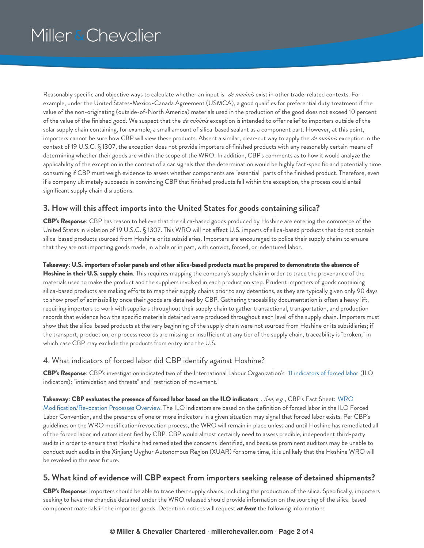Reasonably specific and objective ways to calculate whether an input is *de minimis* exist in other trade-related contexts. For example, under the United States-Mexico-Canada Agreement (USMCA), a good qualifies for preferential duty treatment if the value of the non-originating (outside-of-North America) materials used in the production of the good does not exceed 10 percent of the value of the finished good. We suspect that the *de minimis* exception is intended to offer relief to importers outside of the solar supply chain containing, for example, a small amount of silica-based sealant as a component part. However, at this point, importers cannot be sure how CBP will view these products. Absent a similar, clear-cut way to apply the *de minimis* exception in the context of 19 U.S.C. § 1307, the exception does not provide importers of finished products with any reasonably certain means of determining whether their goods are within the scope of the WRO. In addition, CBP's comments as to how it would analyze the applicability of the exception in the context of a car signals that the determination would be highly fact-specific and potentially time consuming if CBP must weigh evidence to assess whether components are "essential" parts of the finished product. Therefore, even if a company ultimately succeeds in convincing CBP that finished products fall within the exception, the process could entail significant supply chain disruptions.

### **3. How will this affect imports into the United States for goods containing silica?**

**CBP's Response**: CBP has reason to believe that the silica-based goods produced by Hoshine are entering the commerce of the United States in violation of 19 U.S.C. § 1307. This WRO will not affect U.S. imports of silica-based products that do not contain silica-based products sourced from Hoshine or its subsidiaries. Importers are encouraged to police their supply chains to ensure that they are not importing goods made, in whole or in part, with convict, forced, or indentured labor.

Takeaway: U.S. importers of solar panels and other silica-based products must be prepared to demonstrate the absence of **Hoshine in their U.S. supply chain**. This requires mapping the company's supply chain in order to trace the provenance of the materials used to make the product and the suppliers involved in each production step. Prudent importers of goods containing silica-based products are making efforts to map their supply chains prior to any detentions, as they are typically given only 90 days to show proof of admissibility once their goods are detained by CBP. Gathering traceability documentation is often a heavy lift, requiring importers to work with suppliers throughout their supply chain to gather transactional, transportation, and production records that evidence how the specific materials detained were produced throughout each level of the supply chain. Importers must show that the silica-based products at the very beginning of the supply chain were not sourced from Hoshine or its subsidiaries; if the transport, production, or process records are missing or insufficient at any tier of the supply chain, traceability is "broken," in which case CBP may exclude the products from entry into the U.S.

#### 4. What indicators of forced labor did CBP identify against Hoshine?

**CBP's Response**: CBP's investigation indicated two of the International Labour Organization's 11 [indicators](https://www.ilo.org/wcmsp5/groups/public/---ed_norm/---declaration/documents/publication/wcms_203832.pdf) of forced labor (ILO indicators): "intimidation and threats" and "restriction of movement."

**Takeaway**: **CBP evaluates the presence of forced labor based on the ILO indicators** . *See, e.g*., CBP's Fact Sheet: WRO [Modification/Revocation](https://www.cbp.gov/sites/default/files/assets/documents/2021-Mar/Final_Modification%20Revocation%20Process%255B5%255D.pdf) Processes Overview. The ILO indicators are based on the definition of forced labor in the ILO Forced Labor Convention, and the presence of one or more indicators in a given situation may signal that forced labor exists. Per CBP's guidelines on the WRO modification/revocation process, the WRO will remain in place unless and until Hoshine has remediated all of the forced labor indicators identified by CBP. CBP would almost certainly need to assess credible, independent third-party audits in order to ensure that Hoshine had remediated the concerns identified, and because prominent auditors may be unable to conduct such audits in the Xinjiang Uyghur Autonomous Region (XUAR) for some time, it is unlikely that the Hoshine WRO will be revoked in the near future.

### **5. What kind of evidence will CBP expect from importers seeking release of detained shipments?**

**CBP's Response**: Importers should be able to trace their supply chains, including the production of the silica. Specifically, importers seeking to have merchandise detained under the WRO released should provide information on the sourcing of the silica-based component materials in the imported goods. Detention notices will request *at least* the following information: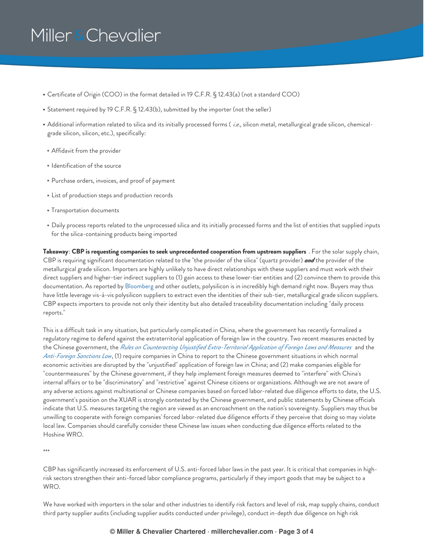- Certificate of Origin (COO) in the format detailed in 19 C.F.R. § 12.43(a) (not a standard COO)
- Statement required by 19 C.F.R. § 12.43(b), submitted by the importer (not the seller)
- Additional information related to silica and its initially processed forms ( *i.e*., silicon metal, metallurgical grade silicon, chemicalgrade silicon, silicon, etc.), specifically:
- Affidavit from the provider
- Identification of the source
- Purchase orders, invoices, and proof of payment
- List of production steps and production records
- Transportation documents
- Daily process reports related to the unprocessed silica and its initially processed forms and the list of entities that supplied inputs for the silica-containing products being imported

**Takeaway**: **CBP is requesting companies to seek unprecedented cooperation from upstream suppliers** . For the solar supply chain, CBP is requiring significant documentation related to the "the provider of the silica" (quartz provider) *and* the provider of the metallurgical grade silicon. Importers are highly unlikely to have direct relationships with these suppliers and must work with their direct suppliers and higher-tier indirect suppliers to (1) gain access to these lower-tier entities and (2) convince them to provide this documentation. As reported by [Bloomberg](https://www.bloomberg.com/opinion/articles/2021-06-13/the-coming-solar-panel-crisis-could-be-less-about-price-and-more-about-xinjiang) and other outlets, polysilicon is in incredibly high demand right now. Buyers may thus have little leverage vis-à-vis polysilicon suppliers to extract even the identities of their sub-tier, metallurgical grade silicon suppliers. CBP expects importers to provide not only their identity but also detailed traceability documentation including "daily process reports."

This is a difficult task in any situation, but particularly complicated in China, where the government has recently formalized a regulatory regime to defend against the extraterritorial application of foreign law in the country. Two recent measures enacted by the Chinese government, the *Rules on [Counteracting](http://english.mofcom.gov.cn/article/policyrelease/questions/202101/20210103029708.shtml) Unjustified Extra-Territorial Application of Foreign Laws and Measures* and the *[Anti-Foreign](http://www.npc.gov.cn/npc/c30834/202106/d4a714d5813c4ad2ac54a5f0f78a5270.shtml) Sanctions Law*, (1) require companies in China to report to the Chinese government situations in which normal economic activities are disrupted by the "unjustified" application of foreign law in China; and (2) make companies eligible for "countermeasures" by the Chinese government, if they help implement foreign measures deemed to "interfere" with China's internal affairs or to be "discriminatory" and "restrictive" against Chinese citizens or organizations. Although we are not aware of any adverse actions against multinational or Chinese companies based on forced labor-related due diligence efforts to date, the U.S. government's position on the XUAR is strongly contested by the Chinese government, and public statements by Chinese officials indicate that U.S. measures targeting the region are viewed as an encroachment on the nation's sovereignty. Suppliers may thus be unwilling to cooperate with foreign companies' forced labor-related due diligence efforts if they perceive that doing so may violate local law. Companies should carefully consider these Chinese law issues when conducting due diligence efforts related to the Hoshine WRO.

\*\*\*

CBP has significantly increased its enforcement of U.S. anti-forced labor laws in the past year. It is critical that companies in highrisk sectors strengthen their anti-forced labor compliance programs, particularly if they import goods that may be subject to a WRO.

We have worked with importers in the solar and other industries to identify risk factors and level of risk, map supply chains, conduct third party supplier audits (including supplier audits conducted under privilege), conduct in-depth due diligence on high risk